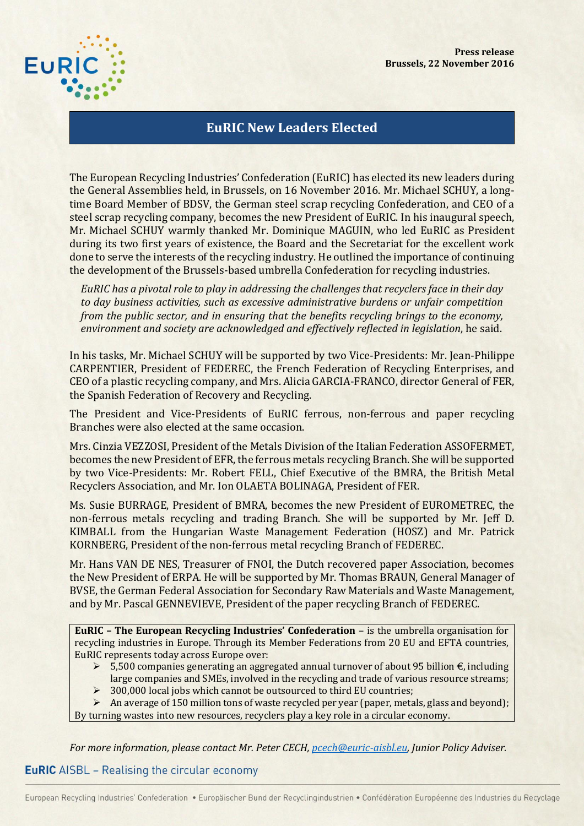

## **EuRIC New Leaders Elected**

The European Recycling Industries' Confederation (EuRIC) has elected its new leaders during the General Assemblies held, in Brussels, on 16 November 2016. Mr. Michael SCHUY, a longtime Board Member of BDSV, the German steel scrap recycling Confederation, and CEO of a steel scrap recycling company, becomes the new President of EuRIC. In his inaugural speech, Mr. Michael SCHUY warmly thanked Mr. Dominique MAGUIN, who led EuRIC as President during its two first years of existence, the Board and the Secretariat for the excellent work done to serve the interests of the recycling industry. He outlined the importance of continuing the development of the Brussels-based umbrella Confederation for recycling industries.

*EuRIC has a pivotal role to play in addressing the challenges that recyclers face in their day to day business activities, such as excessive administrative burdens or unfair competition from the public sector, and in ensuring that the benefits recycling brings to the economy, environment and society are acknowledged and effectively reflected in legislation*, he said.

In his tasks, Mr. Michael SCHUY will be supported by two Vice-Presidents: Mr. Jean-Philippe CARPENTIER, President of FEDEREC, the French Federation of Recycling Enterprises, and CEO of a plastic recycling company, and Mrs. Alicia GARCIA-FRANCO, director General of FER, the Spanish Federation of Recovery and Recycling.

The President and Vice-Presidents of EuRIC ferrous, non-ferrous and paper recycling Branches were also elected at the same occasion.

Mrs. Cinzia VEZZOSI, President of the Metals Division of the Italian Federation ASSOFERMET, becomes the new President of EFR, the ferrous metals recycling Branch. She will be supported by two Vice-Presidents: Mr. Robert FELL, Chief Executive of the BMRA, the British Metal Recyclers Association, and Mr. Ion OLAETA BOLINAGA, President of FER.

Ms. Susie BURRAGE, President of BMRA, becomes the new President of EUROMETREC, the non-ferrous metals recycling and trading Branch. She will be supported by Mr. Jeff D. KIMBALL from the Hungarian Waste Management Federation (HOSZ) and Mr. Patrick KORNBERG, President of the non-ferrous metal recycling Branch of FEDEREC.

Mr. Hans VAN DE NES, Treasurer of FNOI, the Dutch recovered paper Association, becomes the New President of ERPA. He will be supported by Mr. Thomas BRAUN, General Manager of BVSE, the German Federal Association for Secondary Raw Materials and Waste Management, and by Mr. Pascal GENNEVIEVE, President of the paper recycling Branch of FEDEREC.

**EuRIC – The European Recycling Industries' Confederation** – is the umbrella organisation for recycling industries in Europe. Through its Member Federations from 20 EU and EFTA countries, EuRIC represents today across Europe over:

- $\triangleright$  5,500 companies generating an aggregated annual turnover of about 95 billion  $\epsilon$ , including large companies and SMEs, involved in the recycling and trade of various resource streams;
- 300,000 local jobs which cannot be outsourced to third EU countries;
- $\triangleright$  An average of 150 million tons of waste recycled per year (paper, metals, glass and beyond);

By turning wastes into new resources, recyclers play a key role in a circular economy.

*For more information, please contact Mr. Peter CECH, [pcech@euric-aisbl.eu,](mailto:pcech@euric-aisbl.eu) Junior Policy Adviser.*

## **EuRIC** AISBL - Realising the circular economy

European Recycling Industries' Confederation · Europäischer Bund der Recyclingindustrien · Confédération Européenne des Industries du Recyclage